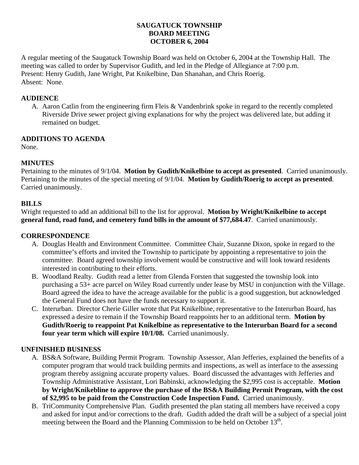### **SAUGATUCK TOWNSHIP BOARD MEETING OCTOBER 6, 2004**

A regular meeting of the Saugatuck Township Board was held on October 6, 2004 at the Township Hall. The meeting was called to order by Supervisor Gudith, and led in the Pledge of Allegiance at 7:00 p.m. Present: Henry Gudith, Jane Wright, Pat Knikelbine, Dan Shanahan, and Chris Roerig. Absent: None.

## **AUDIENCE**

A. Aaron Catlin from the engineering firm Fleis & Vandenbrink spoke in regard to the recently completed Riverside Drive sewer project giving explanations for why the project was delivered late, but adding it remained on budget.

# **ADDITIONS TO AGENDA**

None.

# **MINUTES**

Pertaining to the minutes of 9/1/04. **Motion by Gudith/Knikelbine to accept as presented**. Carried unanimously. Pertaining to the minutes of the special meeting of 9/1/04. **Motion by Gudith/Roerig to accept as presented**. Carried unanimously.

# **BILLS**

Wright requested to add an additional bill to the list for approval. **Motion by Wright/Knikelbine to accept general fund, road fund, and cemetery fund bills in the amount of \$77,684.47**. Carried unanimously.

### **CORRESPONDENCE**

- A. Douglas Health and Environment Committee. Committee Chair, Suzanne Dixon, spoke in regard to the committee's efforts and invited the Township to participate by appointing a representative to join the committee. Board agreed township involvement would be constructive and will look toward residents interested in contributing to their efforts.
- B. Woodland Realty. Gudith read a letter from Glenda Forsten that suggested the township look into purchasing a 53+ acre parcel on Wiley Road currently under lease by MSU in conjunction with the Village. Board agreed the idea to have the acreage available for the public is a good suggestion, but acknowledged the General Fund does not have the funds necessary to support it.
- C. Interurban. Director Cherie Giller wrote that Pat Knikelbine, representative to the Interurban Board, has expressed a desire to remain if the Township Board reappoints her to an additional term. **Motion by Gudith/Roerig to reappoint Pat Knikelbine as representative to the Interurban Board for a second four year term which will expire 10/1/08.** Carried unanimously.

### **UNFINISHED BUSINESS**

- A. BS&A Software, Building Permit Program. Township Assessor, Alan Jefferies, explained the benefits of a computer program that would track building permits and inspections, as well as interface to the assessing program thereby assigning accurate property values. Board discussed the advantages with Jefferies and Township Administrative Assistant, Lori Babinski, acknowledging the \$2,995 cost is acceptable. **Motion by Wright/Knikebline to approve the purchase of the BS&A Building Permit Program, with the cost of \$2,995 to be paid from the Construction Code Inspection Fund.** Carried unanimously.
- B. TriCommunity Comprehensive Plan. Gudith presented the plan stating all members have received a copy and asked for input and/or corrections to the draft. Gudith added the draft will be a subject of a special joint meeting between the Board and the Planning Commission to be held on October 13<sup>th</sup>.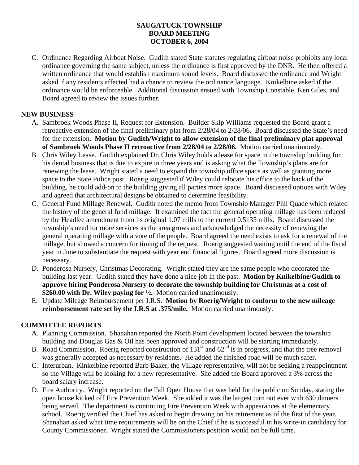## **SAUGATUCK TOWNSHIP BOARD MEETING OCTOBER 6, 2004**

C. Ordinance Regarding Airboat Noise. Gudith stated State statutes regulating airboat noise prohibits any local ordinance governing the same subject, unless the ordinance is first approved by the DNR. He then offered a written ordinance that would establish maximum sound levels. Board discussed the ordinance and Wright asked if any residents affected had a chance to review the ordinance language. Knikelbine asked if the ordinance would be enforceable. Additional discussion ensued with Township Constable, Ken Giles, and Board agreed to review the issues further.

## **NEW BUSINESS**

- A. Sambroek Woods Phase II, Request for Extension. Builder Skip Williams requested the Board grant a retroactive extension of the final preliminary plat from 2/28/04 to 2/28/06. Board discussed the State's need for the extension. **Motion by Gudith/Wright to allow extension of the final preliminary plat approval of Sambroek Woods Phase II retroactive from 2/28/04 to 2/28/06.** Motion carried unanimously.
- B. Chris Wiley Lease. Gudith explained Dr. Chris Wiley holds a lease for space in the township building for his dental business that is due to expire in three years and is asking what the Township's plans are for renewing the lease. Wright stated a need to expand the township office space as well as granting more space to the State Police post. Roerig suggested if Wiley could relocate his office to the back of the building, he could add-on to the building giving all parties more space. Board discussed options with Wiley and agreed that architectural designs be obtained to determine feasibility.
- C. General Fund Millage Renewal. Gudith noted the memo from Township Manager Phil Quade which related the history of the general fund millage. It examined the fact the general operating millage has been reduced by the Headlee amendment from its original 1.07 mills to the current 0.5135 mills. Board discussed the township's need for more services as the area grows and acknowledged the necessity of renewing the general operating millage with a vote of the people. Board agreed the need exists to ask for a renewal of the millage, but showed a concern for timing of the request. Roerig suggested waiting until the end of the fiscal year in June to substantiate the request with year end financial figures. Board agreed more discussion is necessary.
- D. Ponderosa Nursery, Christmas Decorating. Wright stated they are the same people who decorated the building last year. Gudith stated they have done a nice job in the past. **Motion by Knikelbine/Gudith to approve hiring Ponderosa Nursery to decorate the township building for Christmas at a cost of \$260.00 with Dr. Wiley paying for ½.** Motion carried unanimously.
- E. Update Mileage Reimbursement per I.R.S. **Motion by Roerig/Wright to conform to the new mileage reimbursement rate set by the I.R.S at .375/mile.** Motion carried unanimously.

### **COMMITTEE REPORTS**

- A. Planning Commission. Shanahan reported the North Point development located between the township building and Douglas Gas & Oil has been approved and construction will be starting immediately.
- B. Road Commission. Roerig reported construction of  $131<sup>st</sup>$  and  $62<sup>nd</sup>$  is in progress, and that the tree removal was generally accepted as necessary by residents. He added the finished road will be much safer.
- C. Interurban. Kinkelbine reported Barb Baker, the Village representative, will not be seeking a reappointment so the Village will be looking for a new representative. She added the Board approved a 3% across the board salary increase.
- D. Fire Authority. Wright reported on the Fall Open House that was held for the public on Sunday, stating the open house kicked off Fire Prevention Week. She added it was the largest turn out ever with 630 dinners being served. The department is continuing Fire Prevention Week with appearances at the elementary school. Roerig verified the Chief has asked to begin drawing on his retirement as of the first of the year. Shanahan asked what time requirements will be on the Chief if he is successful in his write-in candidacy for County Commissioner. Wright stated the Commissioners position would not be full time.